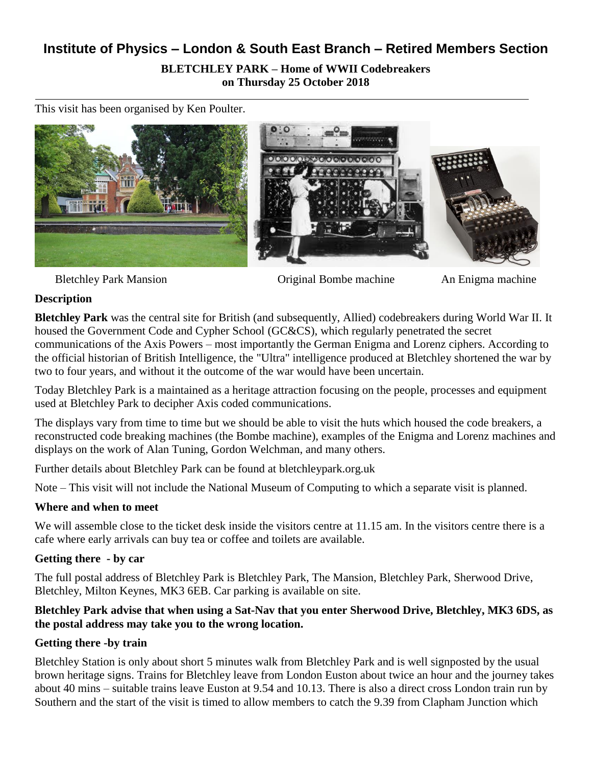# **Institute of Physics – London & South East Branch – Retired Members Section BLETCHLEY PARK – Home of WWII Codebreakers on Thursday 25 October 2018**

This visit has been organised by Ken Poulter.



Bletchley Park Mansion **Original Bombe machine** An Enigma machine

#### **Description**

**Bletchley Park** was the central site for British (and subsequently, [Allied\)](https://en.wikipedia.org/wiki/Allies_of_World_War_II) [codebreakers during World War II.](https://en.wikipedia.org/wiki/World_War_II_cryptography) It housed the [Government Code and Cypher School](https://en.wikipedia.org/wiki/Government_Code_and_Cypher_School) (GC&CS), which regularly penetrated the secret communications of the [Axis Powers](https://en.wikipedia.org/wiki/Axis_Powers) – most importantly the German [Enigma](https://en.wikipedia.org/wiki/Enigma_(machine)) and [Lorenz](https://en.wikipedia.org/wiki/Lorenz_cipher) ciphers. According to the official historian of British Intelligence, the ["Ultra"](https://en.wikipedia.org/wiki/Ultra) intelligence produced at Bletchley shortened the war by two to four years, and without it the outcome of the war would have been uncertain.

Today Bletchley Park is a maintained as a heritage attraction focusing on the people, processes and equipment used at Bletchley Park to decipher Axis coded communications.

The displays vary from time to time but we should be able to visit the huts which housed the code breakers, a reconstructed code breaking machines (the Bombe machine), examples of the Enigma and Lorenz machines and displays on the work of Alan Tuning, Gordon Welchman, and many others.

Further details about Bletchley Park can be found at bletchleypark.org.uk

Note – This visit will not include the National Museum of Computing to which a separate visit is planned.

## **Where and when to meet**

We will assemble close to the ticket desk inside the visitors centre at 11.15 am. In the visitors centre there is a cafe where early arrivals can buy tea or coffee and toilets are available.

#### **Getting there - by car**

The full postal address of Bletchley Park is Bletchley Park, The Mansion, Bletchley Park, Sherwood Drive, Bletchley, Milton Keynes, MK3 6EB. Car parking is available on site.

#### **Bletchley Park advise that when using a Sat-Nav that you enter Sherwood Drive, Bletchley, MK3 6DS, as the postal address may take you to the wrong location.**

## **Getting there -by train**

Bletchley Station is only about short 5 minutes walk from Bletchley Park and is well signposted by the usual brown heritage signs. Trains for Bletchley leave from London Euston about twice an hour and the journey takes about 40 mins – suitable trains leave Euston at 9.54 and 10.13. There is also a direct cross London train run by Southern and the start of the visit is timed to allow members to catch the 9.39 from Clapham Junction which